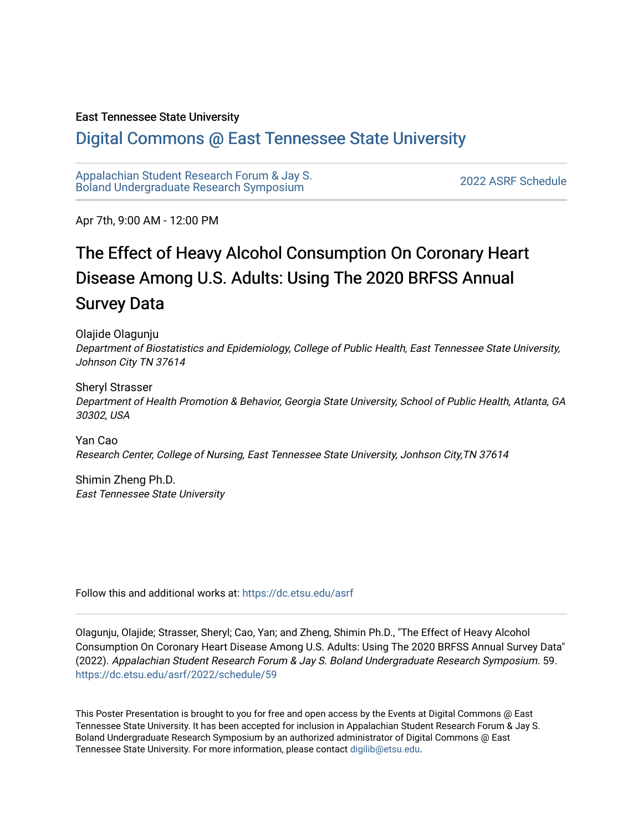#### East Tennessee State University

#### [Digital Commons @ East Tennessee State University](https://dc.etsu.edu/)

[Appalachian Student Research Forum & Jay S.](https://dc.etsu.edu/asrf)  Appalactifalt Student Research Forum & Jay S.<br>Boland Undergraduate Research Symposium

Apr 7th, 9:00 AM - 12:00 PM

#### The Effect of Heavy Alcohol Consumption On Coronary Heart Disease Among U.S. Adults: Using The 2020 BRFSS Annual Survey Data

Olajide Olagunju Department of Biostatistics and Epidemiology, College of Public Health, East Tennessee State University, Johnson City TN 37614

Sheryl Strasser Department of Health Promotion & Behavior, Georgia State University, School of Public Health, Atlanta, GA 30302, USA

Yan Cao Research Center, College of Nursing, East Tennessee State University, Jonhson City,TN 37614

Shimin Zheng Ph.D. East Tennessee State University

Follow this and additional works at: [https://dc.etsu.edu/asrf](https://dc.etsu.edu/asrf?utm_source=dc.etsu.edu%2Fasrf%2F2022%2Fschedule%2F59&utm_medium=PDF&utm_campaign=PDFCoverPages) 

Olagunju, Olajide; Strasser, Sheryl; Cao, Yan; and Zheng, Shimin Ph.D., "The Effect of Heavy Alcohol Consumption On Coronary Heart Disease Among U.S. Adults: Using The 2020 BRFSS Annual Survey Data" (2022). Appalachian Student Research Forum & Jay S. Boland Undergraduate Research Symposium. 59. [https://dc.etsu.edu/asrf/2022/schedule/59](https://dc.etsu.edu/asrf/2022/schedule/59?utm_source=dc.etsu.edu%2Fasrf%2F2022%2Fschedule%2F59&utm_medium=PDF&utm_campaign=PDFCoverPages) 

This Poster Presentation is brought to you for free and open access by the Events at Digital Commons @ East Tennessee State University. It has been accepted for inclusion in Appalachian Student Research Forum & Jay S. Boland Undergraduate Research Symposium by an authorized administrator of Digital Commons @ East Tennessee State University. For more information, please contact [digilib@etsu.edu](mailto:digilib@etsu.edu).